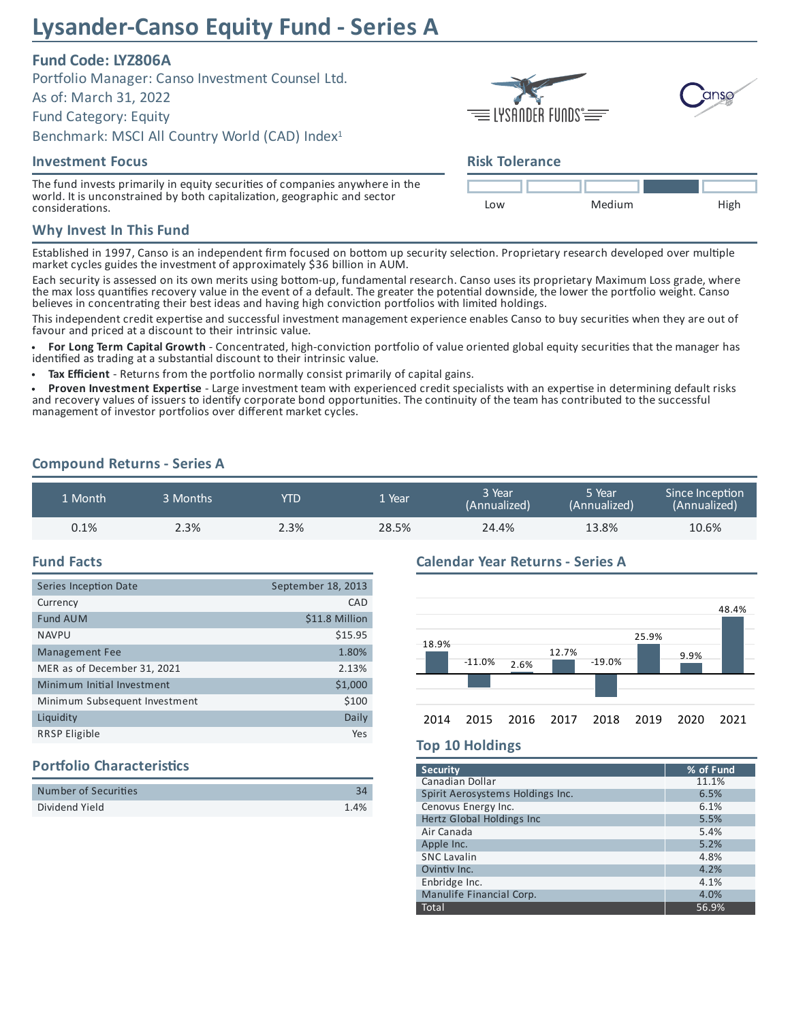# **Lysander-Canso Equity Fund - Series A**

# **Fund Code: LYZ806A**

Portfolio Manager: Canso Investment Counsel Ltd.

As of: March 31, 2022

Fund Category: Equity

Benchmark: MSCI All Country World (CAD) Index 1

### **Investment Focus**

The fund invests primarily in equity securities of companies anywhere in the world. It is unconstrained by both capitalization, geographic and sector considerations.

## **Why Invest In This Fund**

Established in 1997, Canso is an independent firm focused on bottom up security selection. Proprietary research developed over multiple market cycles guides the investment of approximately \$36 billion in AUM.

Each security is assessed on its own merits using bottom-up, fundamental research. Canso uses its proprietary Maximum Loss grade, where the max loss quantifies recovery value in the event of a default. The greater the potential downside, the lower the portfolio weight. Canso believes in concentrating their best ideas and having high conviction portfolios with limited holdings.

This independent credit expertise and successful investment management experience enables Canso to buy securities when they are out of favour and priced at a discount to their intrinsic value.

For Long Term Capital Growth - Concentrated, high-conviction portfolio of value oriented global equity securities that the manager has identified as trading at a substantial discount to their intrinsic value.

**Tax Efficient** - Returns from the portfolio normally consist primarily of capital gains.

Proven Investment Expertise - Large investment team with experienced credit specialists with an expertise in determining default risks and recovery values of issuers to identify corporate bond opportunities. The continuity of the team has contributed to the successful management of investor portfolios over different market cycles.

### **Compound Returns - Series A**

| 1 Month | 3 Months | YTD  | . Year | 3 Year<br>(Annualized) | 5 Year<br>(Annualized) | Since Inception<br>(Annualized) |  |
|---------|----------|------|--------|------------------------|------------------------|---------------------------------|--|
| 0.1%    | 2.3%     | 2.3% | 28.5%  | 24.4%                  | 13.8%                  | 10.6%                           |  |

### **Fund Facts**

| Series Inception Date         | September 18, 2013 |
|-------------------------------|--------------------|
| Currency                      | CAD                |
| <b>Fund AUM</b>               | \$11.8 Million     |
| <b>NAVPU</b>                  | \$15.95            |
| <b>Management Fee</b>         | 1.80%              |
| MER as of December 31, 2021   | 2.13%              |
| Minimum Initial Investment    | \$1,000            |
| Minimum Subsequent Investment | \$100              |
| Liquidity                     | Daily              |
| <b>RRSP Eligible</b>          | Yes                |

# **Portfolio Characteristics**

| Number of Securities |      |
|----------------------|------|
| Dividend Yield       | 1.4% |

### **Calendar Year Returns - Series A**



### **Top 10 Holdings**

| <b>Security</b>                  | % of Fund |
|----------------------------------|-----------|
| Canadian Dollar                  | 11.1%     |
| Spirit Aerosystems Holdings Inc. | 6.5%      |
| Cenovus Energy Inc.              | 6.1%      |
| Hertz Global Holdings Inc        | 5.5%      |
| Air Canada                       | 5.4%      |
| Apple Inc.                       | 5.2%      |
| <b>SNC Lavalin</b>               | 4.8%      |
| Ovintiv Inc.                     | 4.2%      |
| Enbridge Inc.                    | 4.1%      |
| Manulife Financial Corp.         | 4.0%      |
| Total                            | 56.9%     |